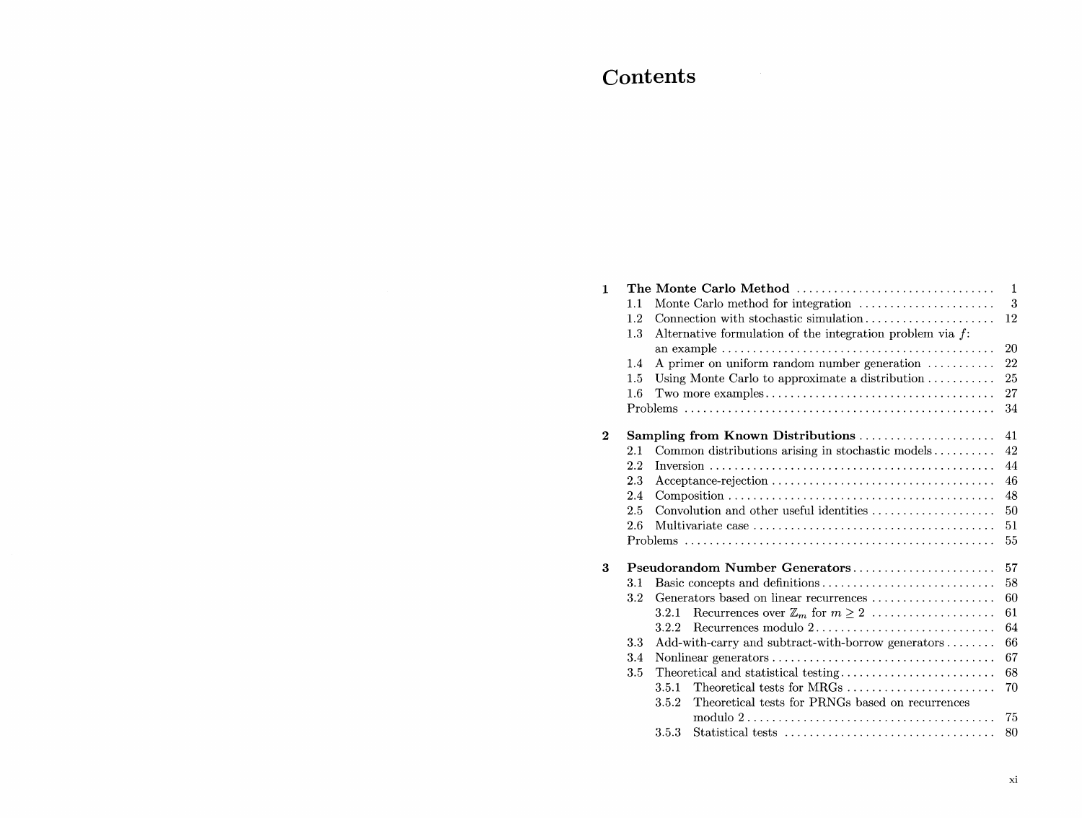## Contents

| $\mathbf{1}$ |         | The Monte Carlo Method                                                                                 | 1  |  |  |  |
|--------------|---------|--------------------------------------------------------------------------------------------------------|----|--|--|--|
|              | 1.1     | Monte Carlo method for integration                                                                     | 3  |  |  |  |
|              | 1.2     | Connection with stochastic simulation                                                                  | 12 |  |  |  |
|              | 1.3     | Alternative formulation of the integration problem via $f$ :                                           |    |  |  |  |
|              |         | an example $\dots \dots \dots \dots \dots \dots \dots \dots \dots \dots \dots \dots \dots \dots \dots$ | 20 |  |  |  |
|              | 1.4     | A primer on uniform random number generation                                                           | 22 |  |  |  |
|              | 1.5     | Using Monte Carlo to approximate a distribution $\ldots \ldots \ldots$                                 | 25 |  |  |  |
|              | $1.6\,$ |                                                                                                        | 27 |  |  |  |
|              |         |                                                                                                        | 34 |  |  |  |
| $\bf{2}$     |         | Sampling from Known Distributions                                                                      | 41 |  |  |  |
|              | 2.1     | Common distributions arising in stochastic models                                                      | 42 |  |  |  |
|              | 2.2     |                                                                                                        | 44 |  |  |  |
|              | 2.3     | 46                                                                                                     |    |  |  |  |
|              | 2.4     | 48                                                                                                     |    |  |  |  |
|              | 2.5     | Convolution and other useful identities<br>50                                                          |    |  |  |  |
|              | 2.6     | 51                                                                                                     |    |  |  |  |
|              |         |                                                                                                        | 55 |  |  |  |
| 3            |         | Pseudorandom Number Generators                                                                         | 57 |  |  |  |
|              | 3.1     | Basic concepts and definitions                                                                         | 58 |  |  |  |
|              | 3.2     | Generators based on linear recurrences                                                                 | 60 |  |  |  |
|              |         | Recurrences over $\mathbb{Z}_m$ for $m \geq 2$<br>3.2.1                                                | 61 |  |  |  |
|              |         | Recurrences modulo 2<br>3.2.2                                                                          | 64 |  |  |  |
|              | 3.3     | Add-with-carry and subtract-with-borrow generators                                                     | 66 |  |  |  |
|              | 3.4     | 67                                                                                                     |    |  |  |  |
|              | 3.5     |                                                                                                        | 68 |  |  |  |
|              |         | Theoretical tests for MRGs<br>3.5.1                                                                    | 70 |  |  |  |
|              |         | Theoretical tests for PRNGs based on recurrences<br>3.5.2                                              |    |  |  |  |
|              |         | modulo $2 \ldots \ldots \ldots \ldots \ldots \ldots \ldots \ldots \ldots \ldots \ldots$                | 75 |  |  |  |
|              |         | 3.5.3                                                                                                  | 80 |  |  |  |
|              |         |                                                                                                        |    |  |  |  |